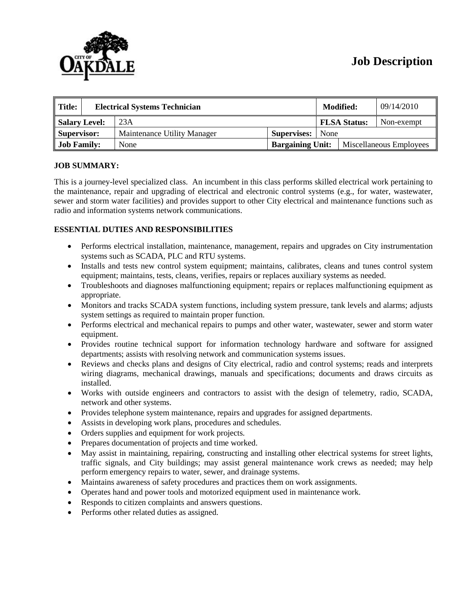# **Job Description**



| $\parallel$ Title:<br><b>Electrical Systems Technician</b> |  |                             | <b>Modified:</b>        |      | 09/14/2010              |            |
|------------------------------------------------------------|--|-----------------------------|-------------------------|------|-------------------------|------------|
| Salary Level:                                              |  | 23A                         |                         |      | <b>FLSA Status:</b>     | Non-exempt |
| Supervisor:                                                |  | Maintenance Utility Manager | Supervises:             | None |                         |            |
| <b>Job Family:</b>                                         |  | None                        | <b>Bargaining Unit:</b> |      | Miscellaneous Employees |            |

# **JOB SUMMARY:**

This is a journey-level specialized class. An incumbent in this class performs skilled electrical work pertaining to the maintenance, repair and upgrading of electrical and electronic control systems (e.g., for water, wastewater, sewer and storm water facilities) and provides support to other City electrical and maintenance functions such as radio and information systems network communications.

# **ESSENTIAL DUTIES AND RESPONSIBILITIES**

- Performs electrical installation, maintenance, management, repairs and upgrades on City instrumentation systems such as SCADA, PLC and RTU systems.
- Installs and tests new control system equipment; maintains, calibrates, cleans and tunes control system equipment; maintains, tests, cleans, verifies, repairs or replaces auxiliary systems as needed.
- Troubleshoots and diagnoses malfunctioning equipment; repairs or replaces malfunctioning equipment as appropriate.
- Monitors and tracks SCADA system functions, including system pressure, tank levels and alarms; adjusts system settings as required to maintain proper function.
- Performs electrical and mechanical repairs to pumps and other water, wastewater, sewer and storm water equipment.
- Provides routine technical support for information technology hardware and software for assigned departments; assists with resolving network and communication systems issues.
- Reviews and checks plans and designs of City electrical, radio and control systems; reads and interprets wiring diagrams, mechanical drawings, manuals and specifications; documents and draws circuits as installed.
- Works with outside engineers and contractors to assist with the design of telemetry, radio, SCADA, network and other systems.
- Provides telephone system maintenance, repairs and upgrades for assigned departments.
- Assists in developing work plans, procedures and schedules.
- Orders supplies and equipment for work projects.
- Prepares documentation of projects and time worked.
- May assist in maintaining, repairing, constructing and installing other electrical systems for street lights, traffic signals, and City buildings; may assist general maintenance work crews as needed; may help perform emergency repairs to water, sewer, and drainage systems.
- Maintains awareness of safety procedures and practices them on work assignments.
- Operates hand and power tools and motorized equipment used in maintenance work.
- Responds to citizen complaints and answers questions.
- Performs other related duties as assigned.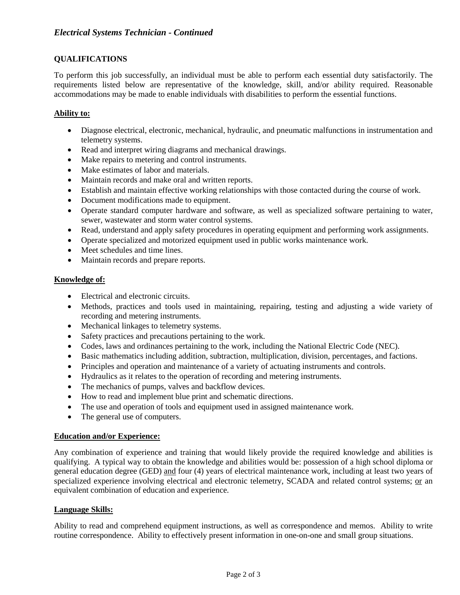# **QUALIFICATIONS**

To perform this job successfully, an individual must be able to perform each essential duty satisfactorily. The requirements listed below are representative of the knowledge, skill, and/or ability required. Reasonable accommodations may be made to enable individuals with disabilities to perform the essential functions.

## **Ability to:**

- Diagnose electrical, electronic, mechanical, hydraulic, and pneumatic malfunctions in instrumentation and telemetry systems.
- Read and interpret wiring diagrams and mechanical drawings.
- Make repairs to metering and control instruments.
- Make estimates of labor and materials.
- Maintain records and make oral and written reports.
- Establish and maintain effective working relationships with those contacted during the course of work.
- Document modifications made to equipment.
- Operate standard computer hardware and software, as well as specialized software pertaining to water, sewer, wastewater and storm water control systems.
- Read, understand and apply safety procedures in operating equipment and performing work assignments.
- Operate specialized and motorized equipment used in public works maintenance work.
- Meet schedules and time lines.
- Maintain records and prepare reports.

#### **Knowledge of:**

- Electrical and electronic circuits.
- Methods, practices and tools used in maintaining, repairing, testing and adjusting a wide variety of recording and metering instruments.
- Mechanical linkages to telemetry systems.
- Safety practices and precautions pertaining to the work.
- Codes, laws and ordinances pertaining to the work, including the National Electric Code (NEC).
- Basic mathematics including addition, subtraction, multiplication, division, percentages, and factions.
- Principles and operation and maintenance of a variety of actuating instruments and controls.
- Hydraulics as it relates to the operation of recording and metering instruments.
- The mechanics of pumps, valves and backflow devices.
- How to read and implement blue print and schematic directions.
- The use and operation of tools and equipment used in assigned maintenance work.
- The general use of computers.

#### **Education and/or Experience:**

Any combination of experience and training that would likely provide the required knowledge and abilities is qualifying. A typical way to obtain the knowledge and abilities would be: possession of a high school diploma or general education degree (GED) and four (4) years of electrical maintenance work, including at least two years of specialized experience involving electrical and electronic telemetry, SCADA and related control systems; or an equivalent combination of education and experience.

#### **Language Skills:**

Ability to read and comprehend equipment instructions, as well as correspondence and memos. Ability to write routine correspondence. Ability to effectively present information in one-on-one and small group situations.